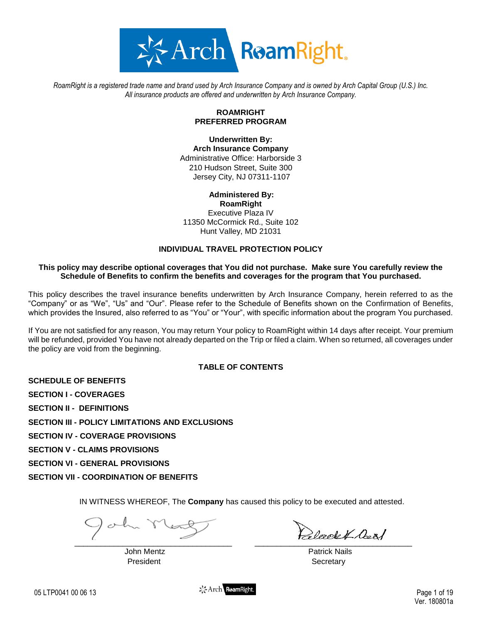

*RoamRight is a registered trade name and brand used by Arch Insurance Company and is owned by Arch Capital Group (U.S.) Inc. All insurance products are offered and underwritten by Arch Insurance Company.*

# **ROAMRIGHT PREFERRED PROGRAM**

**Underwritten By: Arch Insurance Company** Administrative Office: Harborside 3 210 Hudson Street, Suite 300 Jersey City, NJ 07311-1107

# **Administered By: RoamRight**

Executive Plaza IV 11350 McCormick Rd., Suite 102 Hunt Valley, MD 21031

# **INDIVIDUAL TRAVEL PROTECTION POLICY**

### **This policy may describe optional coverages that You did not purchase. Make sure You carefully review the Schedule of Benefits to confirm the benefits and coverages for the program that You purchased.**

This policy describes the travel insurance benefits underwritten by Arch Insurance Company, herein referred to as the "Company" or as "We", "Us" and "Our". Please refer to the Schedule of Benefits shown on the Confirmation of Benefits, which provides the Insured, also referred to as "You" or "Your", with specific information about the program You purchased.

If You are not satisfied for any reason, You may return Your policy to RoamRight within 14 days after receipt. Your premium will be refunded, provided You have not already departed on the Trip or filed a claim. When so returned, all coverages under the policy are void from the beginning.

# **TABLE OF CONTENTS**

**SCHEDULE OF BENEFITS**

**SECTION I - COVERAGES**

**SECTION II - DEFINITIONS**

**SECTION III - POLICY LIMITATIONS AND EXCLUSIONS**

**SECTION IV - COVERAGE PROVISIONS**

**SECTION V - CLAIMS PROVISIONS**

**SECTION VI - GENERAL PROVISIONS**

**SECTION VII - COORDINATION OF BENEFITS**

IN WITNESS WHEREOF, The **Company** has caused this policy to be executed and attested.

President **Secretary** 

 $\overline{\phantom{a}}$  ,  $\overline{\phantom{a}}$  ,  $\overline{\phantom{a}}$  ,  $\overline{\phantom{a}}$  ,  $\overline{\phantom{a}}$  ,  $\overline{\phantom{a}}$  ,  $\overline{\phantom{a}}$  ,  $\overline{\phantom{a}}$  ,  $\overline{\phantom{a}}$  ,  $\overline{\phantom{a}}$  ,  $\overline{\phantom{a}}$  ,  $\overline{\phantom{a}}$  ,  $\overline{\phantom{a}}$  ,  $\overline{\phantom{a}}$  ,  $\overline{\phantom{a}}$  ,  $\overline{\phantom{a}}$ 

John Mentz Patrick Nails

 $\frac{1}{2}$  Arch ReamRight.<br>
05 LTP0041 00 06 13 Page 1 of 19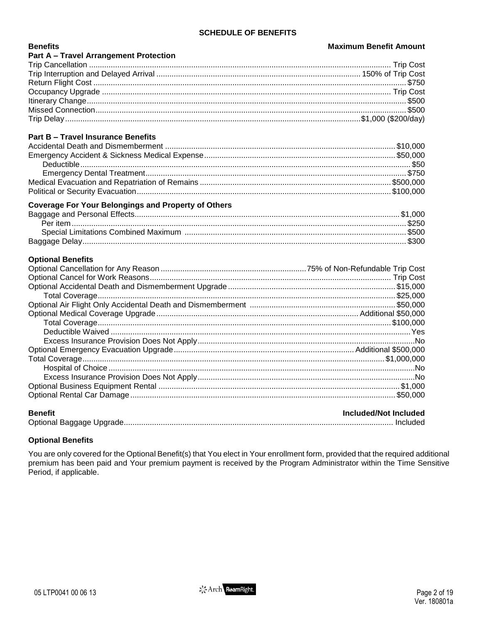# **SCHEDULE OF BENEFITS**

### **Maximum Benefit Amount**

| <b>Part A - Travel Arrangement Protection</b> |  |
|-----------------------------------------------|--|
|                                               |  |
|                                               |  |
|                                               |  |
|                                               |  |
|                                               |  |
|                                               |  |
|                                               |  |

# **Part B - Travel Insurance Benefits**

# **Coverage For Your Belongings and Property of Others**

# **Optional Benefits**

**Benefits** 

# **Renefit**

| <b>Benefit</b> | Included/Not Included |
|----------------|-----------------------|
|                |                       |

# **Optional Benefits**

You are only covered for the Optional Benefit(s) that You elect in Your enrollment form, provided that the required additional premium has been paid and Your premium payment is received by the Program Administrator within the Time Sensitive Period, if applicable.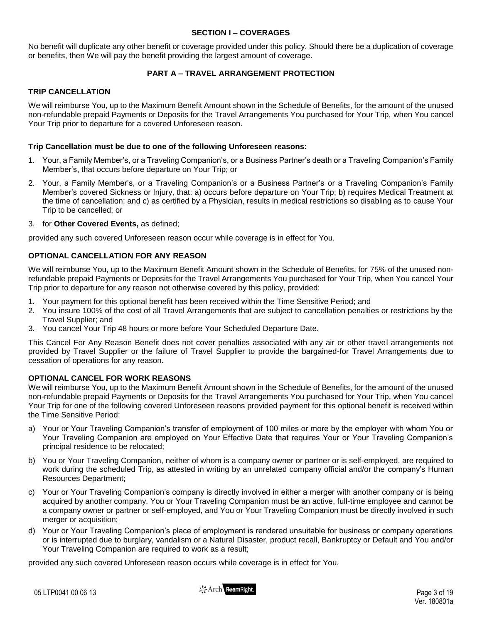### **SECTION I – COVERAGES**

No benefit will duplicate any other benefit or coverage provided under this policy. Should there be a duplication of coverage or benefits, then We will pay the benefit providing the largest amount of coverage.

# **PART A – TRAVEL ARRANGEMENT PROTECTION**

### **TRIP CANCELLATION**

We will reimburse You, up to the Maximum Benefit Amount shown in the Schedule of Benefits, for the amount of the unused non-refundable prepaid Payments or Deposits for the Travel Arrangements You purchased for Your Trip, when You cancel Your Trip prior to departure for a covered Unforeseen reason.

### **Trip Cancellation must be due to one of the following Unforeseen reasons:**

- 1. Your, a Family Member's, or a Traveling Companion's, or a Business Partner's death or a Traveling Companion's Family Member's, that occurs before departure on Your Trip; or
- 2. Your, a Family Member's, or a Traveling Companion's or a Business Partner's or a Traveling Companion's Family Member's covered Sickness or Injury, that: a) occurs before departure on Your Trip; b) requires Medical Treatment at the time of cancellation; and c) as certified by a Physician, results in medical restrictions so disabling as to cause Your Trip to be cancelled; or
- 3. for **Other Covered Events,** as defined;

provided any such covered Unforeseen reason occur while coverage is in effect for You.

# **OPTIONAL CANCELLATION FOR ANY REASON**

We will reimburse You, up to the Maximum Benefit Amount shown in the Schedule of Benefits, for 75% of the unused nonrefundable prepaid Payments or Deposits for the Travel Arrangements You purchased for Your Trip, when You cancel Your Trip prior to departure for any reason not otherwise covered by this policy, provided:

- 1. Your payment for this optional benefit has been received within the Time Sensitive Period; and
- 2. You insure 100% of the cost of all Travel Arrangements that are subject to cancellation penalties or restrictions by the Travel Supplier; and
- 3. You cancel Your Trip 48 hours or more before Your Scheduled Departure Date.

This Cancel For Any Reason Benefit does not cover penalties associated with any air or other travel arrangements not provided by Travel Supplier or the failure of Travel Supplier to provide the bargained-for Travel Arrangements due to cessation of operations for any reason.

# **OPTIONAL CANCEL FOR WORK REASONS**

We will reimburse You, up to the Maximum Benefit Amount shown in the Schedule of Benefits, for the amount of the unused non-refundable prepaid Payments or Deposits for the Travel Arrangements You purchased for Your Trip, when You cancel Your Trip for one of the following covered Unforeseen reasons provided payment for this optional benefit is received within the Time Sensitive Period:

- a) Your or Your Traveling Companion's transfer of employment of 100 miles or more by the employer with whom You or Your Traveling Companion are employed on Your Effective Date that requires Your or Your Traveling Companion's principal residence to be relocated;
- b) You or Your Traveling Companion, neither of whom is a company owner or partner or is self-employed, are required to work during the scheduled Trip, as attested in writing by an unrelated company official and/or the company's Human Resources Department;
- c) Your or Your Traveling Companion's company is directly involved in either a merger with another company or is being acquired by another company. You or Your Traveling Companion must be an active, full-time employee and cannot be a company owner or partner or self-employed, and You or Your Traveling Companion must be directly involved in such merger or acquisition;
- d) Your or Your Traveling Companion's place of employment is rendered unsuitable for business or company operations or is interrupted due to burglary, vandalism or a Natural Disaster, product recall, Bankruptcy or Default and You and/or Your Traveling Companion are required to work as a result;

provided any such covered Unforeseen reason occurs while coverage is in effect for You.

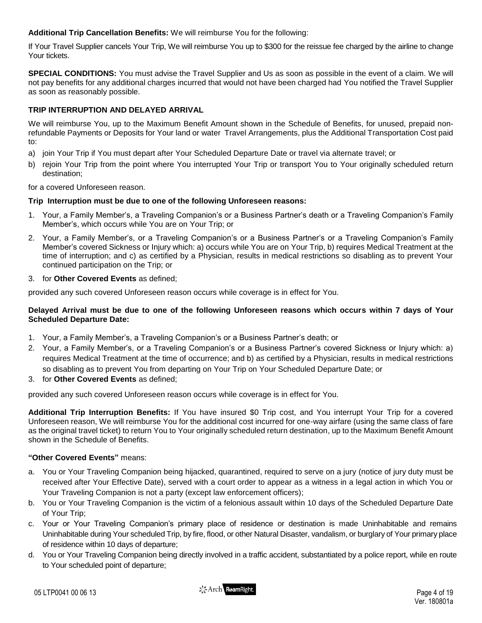**Additional Trip Cancellation Benefits:** We will reimburse You for the following:

If Your Travel Supplier cancels Your Trip, We will reimburse You up to \$300 for the reissue fee charged by the airline to change Your tickets.

**SPECIAL CONDITIONS:** You must advise the Travel Supplier and Us as soon as possible in the event of a claim. We will not pay benefits for any additional charges incurred that would not have been charged had You notified the Travel Supplier as soon as reasonably possible.

# **TRIP INTERRUPTION AND DELAYED ARRIVAL**

We will reimburse You, up to the Maximum Benefit Amount shown in the Schedule of Benefits, for unused, prepaid nonrefundable Payments or Deposits for Your land or water Travel Arrangements, plus the Additional Transportation Cost paid to:

- a) join Your Trip if You must depart after Your Scheduled Departure Date or travel via alternate travel; or
- b) rejoin Your Trip from the point where You interrupted Your Trip or transport You to Your originally scheduled return destination;

for a covered Unforeseen reason.

# **Trip Interruption must be due to one of the following Unforeseen reasons:**

- 1. Your, a Family Member's, a Traveling Companion's or a Business Partner's death or a Traveling Companion's Family Member's, which occurs while You are on Your Trip; or
- 2. Your, a Family Member's, or a Traveling Companion's or a Business Partner's or a Traveling Companion's Family Member's covered Sickness or Injury which: a) occurs while You are on Your Trip, b) requires Medical Treatment at the time of interruption; and c) as certified by a Physician, results in medical restrictions so disabling as to prevent Your continued participation on the Trip; or

### 3. for **Other Covered Events** as defined;

provided any such covered Unforeseen reason occurs while coverage is in effect for You.

### **Delayed Arrival must be due to one of the following Unforeseen reasons which occurs within 7 days of Your Scheduled Departure Date:**

- 1. Your, a Family Member's, a Traveling Companion's or a Business Partner's death; or
- 2. Your, a Family Member's, or a Traveling Companion's or a Business Partner's covered Sickness or Injury which: a) requires Medical Treatment at the time of occurrence; and b) as certified by a Physician, results in medical restrictions so disabling as to prevent You from departing on Your Trip on Your Scheduled Departure Date; or
- 3. for **Other Covered Events** as defined;

provided any such covered Unforeseen reason occurs while coverage is in effect for You.

**Additional Trip Interruption Benefits:** If You have insured \$0 Trip cost, and You interrupt Your Trip for a covered Unforeseen reason, We will reimburse You for the additional cost incurred for one-way airfare (using the same class of fare as the original travel ticket) to return You to Your originally scheduled return destination, up to the Maximum Benefit Amount shown in the Schedule of Benefits.

# **"Other Covered Events"** means:

- a. You or Your Traveling Companion being hijacked, quarantined, required to serve on a jury (notice of jury duty must be received after Your Effective Date), served with a court order to appear as a witness in a legal action in which You or Your Traveling Companion is not a party (except law enforcement officers);
- b. You or Your Traveling Companion is the victim of a felonious assault within 10 days of the Scheduled Departure Date of Your Trip;
- c. Your or Your Traveling Companion's primary place of residence or destination is made Uninhabitable and remains Uninhabitable during Your scheduled Trip, by fire, flood, or other Natural Disaster, vandalism, or burglary of Your primary place of residence within 10 days of departure;
- d. You or Your Traveling Companion being directly involved in a traffic accident, substantiated by a police report, while en route to Your scheduled point of departure;

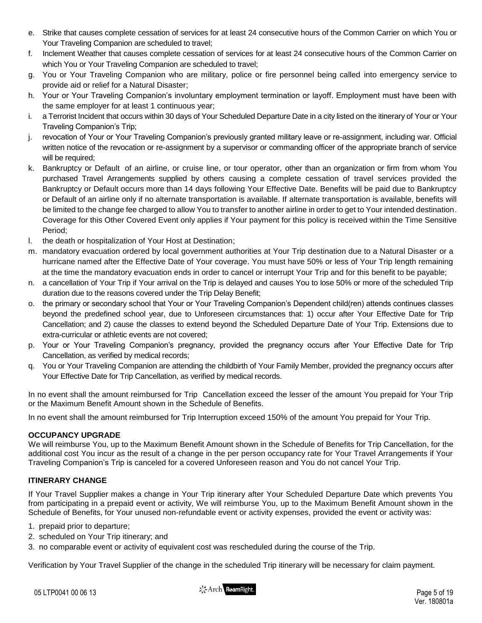- e. Strike that causes complete cessation of services for at least 24 consecutive hours of the Common Carrier on which You or Your Traveling Companion are scheduled to travel;
- f. Inclement Weather that causes complete cessation of services for at least 24 consecutive hours of the Common Carrier on which You or Your Traveling Companion are scheduled to travel;
- g. You or Your Traveling Companion who are military, police or fire personnel being called into emergency service to provide aid or relief for a Natural Disaster;
- h. Your or Your Traveling Companion's involuntary employment termination or layoff. Employment must have been with the same employer for at least 1 continuous year;
- i. a Terrorist Incident that occurs within 30 days of Your Scheduled Departure Date in a city listed on the itinerary of Your or Your Traveling Companion's Trip;
- j. revocation of Your or Your Traveling Companion's previously granted military leave or re-assignment, including war. Official written notice of the revocation or re-assignment by a supervisor or commanding officer of the appropriate branch of service will be required:
- k. Bankruptcy or Default of an airline, or cruise line, or tour operator, other than an organization or firm from whom You purchased Travel Arrangements supplied by others causing a complete cessation of travel services provided the Bankruptcy or Default occurs more than 14 days following Your Effective Date. Benefits will be paid due to Bankruptcy or Default of an airline only if no alternate transportation is available. If alternate transportation is available, benefits will be limited to the change fee charged to allow You to transfer to another airline in order to get to Your intended destination. Coverage for this Other Covered Event only applies if Your payment for this policy is received within the Time Sensitive Period;
- l. the death or hospitalization of Your Host at Destination;
- m. mandatory evacuation ordered by local government authorities at Your Trip destination due to a Natural Disaster or a hurricane named after the Effective Date of Your coverage. You must have 50% or less of Your Trip length remaining at the time the mandatory evacuation ends in order to cancel or interrupt Your Trip and for this benefit to be payable;
- n. a cancellation of Your Trip if Your arrival on the Trip is delayed and causes You to lose 50% or more of the scheduled Trip duration due to the reasons covered under the Trip Delay Benefit;
- o. the primary or secondary school that Your or Your Traveling Companion's Dependent child(ren) attends continues classes beyond the predefined school year, due to Unforeseen circumstances that: 1) occur after Your Effective Date for Trip Cancellation; and 2) cause the classes to extend beyond the Scheduled Departure Date of Your Trip. Extensions due to extra-curricular or athletic events are not covered;
- p. Your or Your Traveling Companion's pregnancy, provided the pregnancy occurs after Your Effective Date for Trip Cancellation, as verified by medical records;
- q. You or Your Traveling Companion are attending the childbirth of Your Family Member, provided the pregnancy occurs after Your Effective Date for Trip Cancellation, as verified by medical records.

In no event shall the amount reimbursed for Trip Cancellation exceed the lesser of the amount You prepaid for Your Trip or the Maximum Benefit Amount shown in the Schedule of Benefits.

In no event shall the amount reimbursed for Trip Interruption exceed 150% of the amount You prepaid for Your Trip.

# **OCCUPANCY UPGRADE**

We will reimburse You, up to the Maximum Benefit Amount shown in the Schedule of Benefits for Trip Cancellation, for the additional cost You incur as the result of a change in the per person occupancy rate for Your Travel Arrangements if Your Traveling Companion's Trip is canceled for a covered Unforeseen reason and You do not cancel Your Trip.

# **ITINERARY CHANGE**

If Your Travel Supplier makes a change in Your Trip itinerary after Your Scheduled Departure Date which prevents You from participating in a prepaid event or activity, We will reimburse You, up to the Maximum Benefit Amount shown in the Schedule of Benefits, for Your unused non-refundable event or activity expenses, provided the event or activity was:

- 1. prepaid prior to departure;
- 2. scheduled on Your Trip itinerary; and
- 3. no comparable event or activity of equivalent cost was rescheduled during the course of the Trip.

Verification by Your Travel Supplier of the change in the scheduled Trip itinerary will be necessary for claim payment.

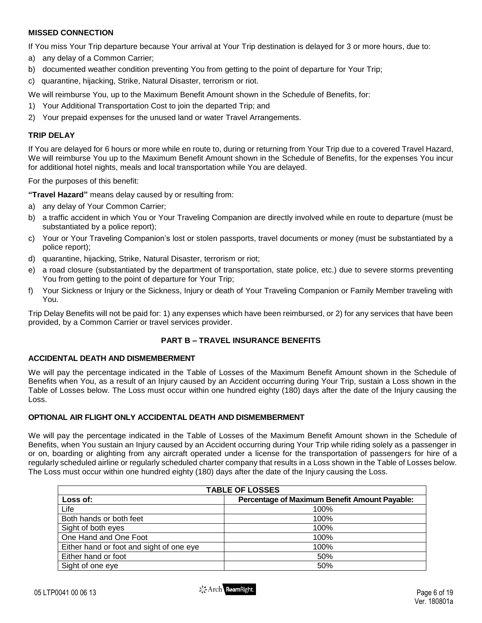### **MISSED CONNECTION**

If You miss Your Trip departure because Your arrival at Your Trip destination is delayed for 3 or more hours, due to:

- a) any delay of a Common Carrier;
- b) documented weather condition preventing You from getting to the point of departure for Your Trip;
- c) quarantine, hijacking, Strike, Natural Disaster, terrorism or riot.

We will reimburse You, up to the Maximum Benefit Amount shown in the Schedule of Benefits, for:

- 1) Your Additional Transportation Cost to join the departed Trip; and
- 2) Your prepaid expenses for the unused land or water Travel Arrangements.

### **TRIP DELAY**

If You are delayed for 6 hours or more while en route to, during or returning from Your Trip due to a covered Travel Hazard, We will reimburse You up to the Maximum Benefit Amount shown in the Schedule of Benefits, for the expenses You incur for additional hotel nights, meals and local transportation while You are delayed.

For the purposes of this benefit:

**"Travel Hazard"** means delay caused by or resulting from:

- a) any delay of Your Common Carrier;
- b) a traffic accident in which You or Your Traveling Companion are directly involved while en route to departure (must be substantiated by a police report);
- c) Your or Your Traveling Companion's lost or stolen passports, travel documents or money (must be substantiated by a police report);
- d) quarantine, hijacking, Strike, Natural Disaster, terrorism or riot;
- e) a road closure (substantiated by the department of transportation, state police, etc.) due to severe storms preventing You from getting to the point of departure for Your Trip;
- f) Your Sickness or Injury or the Sickness, Injury or death of Your Traveling Companion or Family Member traveling with You.

Trip Delay Benefits will not be paid for: 1) any expenses which have been reimbursed, or 2) for any services that have been provided, by a Common Carrier or travel services provider.

### **PART B – TRAVEL INSURANCE BENEFITS**

#### **ACCIDENTAL DEATH AND DISMEMBERMENT**

We will pay the percentage indicated in the Table of Losses of the Maximum Benefit Amount shown in the Schedule of Benefits when You, as a result of an Injury caused by an Accident occurring during Your Trip, sustain a Loss shown in the Table of Losses below. The Loss must occur within one hundred eighty (180) days after the date of the Injury causing the Loss.

### **OPTIONAL AIR FLIGHT ONLY ACCIDENTAL DEATH AND DISMEMBERMENT**

We will pay the percentage indicated in the Table of Losses of the Maximum Benefit Amount shown in the Schedule of Benefits, when You sustain an Injury caused by an Accident occurring during Your Trip while riding solely as a passenger in or on, boarding or alighting from any aircraft operated under a license for the transportation of passengers for hire of a regularly scheduled airline or regularly scheduled charter company that results in a Loss shown in the Table of Losses below. The Loss must occur within one hundred eighty (180) days after the date of the Injury causing the Loss.

| <b>TABLE OF LOSSES</b>                   |                                               |  |
|------------------------------------------|-----------------------------------------------|--|
| Loss of:                                 | Percentage of Maximum Benefit Amount Payable: |  |
| Life                                     | 100%                                          |  |
| Both hands or both feet                  | 100%                                          |  |
| Sight of both eyes                       | 100%                                          |  |
| One Hand and One Foot                    | 100%                                          |  |
| Either hand or foot and sight of one eye | 100%                                          |  |
| Either hand or foot                      | 50%                                           |  |
| Sight of one eye                         | 50%                                           |  |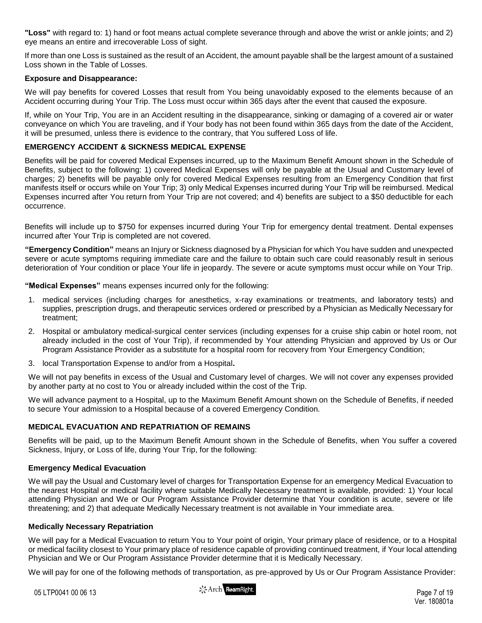**"Loss"** with regard to: 1) hand or foot means actual complete severance through and above the wrist or ankle joints; and 2) eye means an entire and irrecoverable Loss of sight.

If more than one Loss is sustained as the result of an Accident, the amount payable shall be the largest amount of a sustained Loss shown in the Table of Losses.

### **Exposure and Disappearance:**

We will pay benefits for covered Losses that result from You being unavoidably exposed to the elements because of an Accident occurring during Your Trip. The Loss must occur within 365 days after the event that caused the exposure.

If, while on Your Trip, You are in an Accident resulting in the disappearance, sinking or damaging of a covered air or water conveyance on which You are traveling, and if Your body has not been found within 365 days from the date of the Accident, it will be presumed, unless there is evidence to the contrary, that You suffered Loss of life.

# **EMERGENCY ACCIDENT & SICKNESS MEDICAL EXPENSE**

Benefits will be paid for covered Medical Expenses incurred, up to the Maximum Benefit Amount shown in the Schedule of Benefits, subject to the following: 1) covered Medical Expenses will only be payable at the Usual and Customary level of charges; 2) benefits will be payable only for covered Medical Expenses resulting from an Emergency Condition that first manifests itself or occurs while on Your Trip; 3) only Medical Expenses incurred during Your Trip will be reimbursed. Medical Expenses incurred after You return from Your Trip are not covered; and 4) benefits are subject to a \$50 deductible for each occurrence.

Benefits will include up to \$750 for expenses incurred during Your Trip for emergency dental treatment. Dental expenses incurred after Your Trip is completed are not covered.

**"Emergency Condition"** means an Injury or Sickness diagnosed by a Physician for which You have sudden and unexpected severe or acute symptoms requiring immediate care and the failure to obtain such care could reasonably result in serious deterioration of Your condition or place Your life in jeopardy. The severe or acute symptoms must occur while on Your Trip.

**"Medical Expenses"** means expenses incurred only for the following:

- 1. medical services (including charges for anesthetics, x-ray examinations or treatments, and laboratory tests) and supplies, prescription drugs, and therapeutic services ordered or prescribed by a Physician as Medically Necessary for treatment;
- 2. Hospital or ambulatory medical-surgical center services (including expenses for a cruise ship cabin or hotel room, not already included in the cost of Your Trip), if recommended by Your attending Physician and approved by Us or Our Program Assistance Provider as a substitute for a hospital room for recovery from Your Emergency Condition;
- 3. local Transportation Expense to and/or from a Hospital**.**

We will not pay benefits in excess of the Usual and Customary level of charges. We will not cover any expenses provided by another party at no cost to You or already included within the cost of the Trip.

We will advance payment to a Hospital, up to the Maximum Benefit Amount shown on the Schedule of Benefits, if needed to secure Your admission to a Hospital because of a covered Emergency Condition.

# **MEDICAL EVACUATION AND REPATRIATION OF REMAINS**

Benefits will be paid, up to the Maximum Benefit Amount shown in the Schedule of Benefits, when You suffer a covered Sickness, Injury, or Loss of life, during Your Trip, for the following:

### **Emergency Medical Evacuation**

We will pay the Usual and Customary level of charges for Transportation Expense for an emergency Medical Evacuation to the nearest Hospital or medical facility where suitable Medically Necessary treatment is available, provided: 1) Your local attending Physician and We or Our Program Assistance Provider determine that Your condition is acute, severe or life threatening; and 2) that adequate Medically Necessary treatment is not available in Your immediate area.

### **Medically Necessary Repatriation**

We will pay for a Medical Evacuation to return You to Your point of origin, Your primary place of residence, or to a Hospital or medical facility closest to Your primary place of residence capable of providing continued treatment, if Your local attending Physician and We or Our Program Assistance Provider determine that it is Medically Necessary.

We will pay for one of the following methods of transportation, as pre-approved by Us or Our Program Assistance Provider:

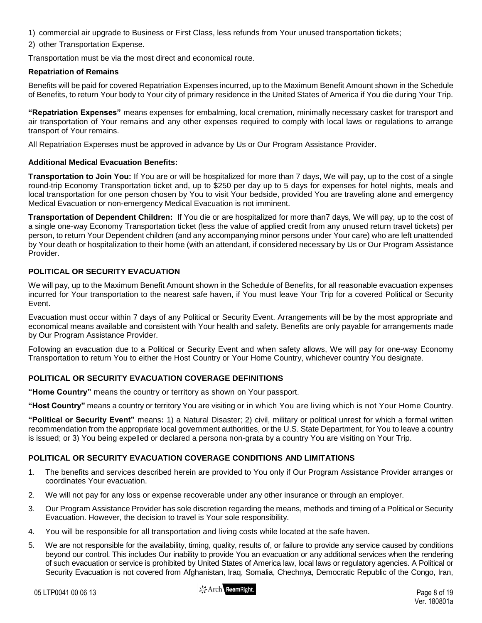- 1) commercial air upgrade to Business or First Class, less refunds from Your unused transportation tickets;
- 2) other Transportation Expense.

Transportation must be via the most direct and economical route.

### **Repatriation of Remains**

Benefits will be paid for covered Repatriation Expenses incurred, up to the Maximum Benefit Amount shown in the Schedule of Benefits, to return Your body to Your city of primary residence in the United States of America if You die during Your Trip.

**"Repatriation Expenses"** means expenses for embalming, local cremation, minimally necessary casket for transport and air transportation of Your remains and any other expenses required to comply with local laws or regulations to arrange transport of Your remains.

All Repatriation Expenses must be approved in advance by Us or Our Program Assistance Provider.

### **Additional Medical Evacuation Benefits:**

**Transportation to Join You:** If You are or will be hospitalized for more than 7 days, We will pay, up to the cost of a single round-trip Economy Transportation ticket and, up to \$250 per day up to 5 days for expenses for hotel nights, meals and local transportation for one person chosen by You to visit Your bedside, provided You are traveling alone and emergency Medical Evacuation or non-emergency Medical Evacuation is not imminent.

**Transportation of Dependent Children:** If You die or are hospitalized for more than7 days, We will pay, up to the cost of a single one-way Economy Transportation ticket (less the value of applied credit from any unused return travel tickets) per person, to return Your Dependent children (and any accompanying minor persons under Your care) who are left unattended by Your death or hospitalization to their home (with an attendant, if considered necessary by Us or Our Program Assistance Provider.

# **POLITICAL OR SECURITY EVACUATION**

We will pay, up to the Maximum Benefit Amount shown in the Schedule of Benefits, for all reasonable evacuation expenses incurred for Your transportation to the nearest safe haven, if You must leave Your Trip for a covered Political or Security Event.

Evacuation must occur within 7 days of any Political or Security Event. Arrangements will be by the most appropriate and economical means available and consistent with Your health and safety. Benefits are only payable for arrangements made by Our Program Assistance Provider.

Following an evacuation due to a Political or Security Event and when safety allows, We will pay for one-way Economy Transportation to return You to either the Host Country or Your Home Country, whichever country You designate.

# **POLITICAL OR SECURITY EVACUATION COVERAGE DEFINITIONS**

**"Home Country"** means the country or territory as shown on Your passport.

**"Host Country"** means a country or territory You are visiting or in which You are living which is not Your Home Country.

**"Political or Security Event"** means**:** 1) a Natural Disaster; 2) civil, military or political unrest for which a formal written recommendation from the appropriate local government authorities, or the U.S. State Department, for You to leave a country is issued; or 3) You being expelled or declared a persona non-grata by a country You are visiting on Your Trip.

# **POLITICAL OR SECURITY EVACUATION COVERAGE CONDITIONS AND LIMITATIONS**

- 1. The benefits and services described herein are provided to You only if Our Program Assistance Provider arranges or coordinates Your evacuation.
- 2. We will not pay for any loss or expense recoverable under any other insurance or through an employer.
- 3. Our Program Assistance Provider has sole discretion regarding the means, methods and timing of a Political or Security Evacuation. However, the decision to travel is Your sole responsibility.
- 4. You will be responsible for all transportation and living costs while located at the safe haven.
- 5. We are not responsible for the availability, timing, quality, results of, or failure to provide any service caused by conditions beyond our control. This includes Our inability to provide You an evacuation or any additional services when the rendering of such evacuation or service is prohibited by United States of America law, local laws or regulatory agencies. A Political or Security Evacuation is not covered from Afghanistan, Iraq, Somalia, Chechnya, Democratic Republic of the Congo, Iran,

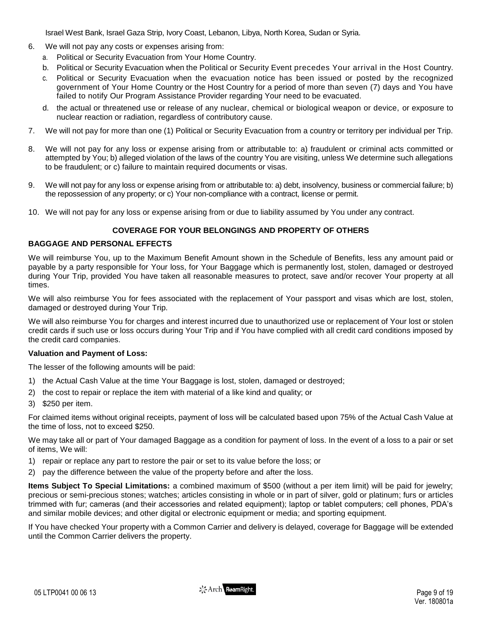Israel West Bank, Israel Gaza Strip, Ivory Coast, Lebanon, Libya, North Korea, Sudan or Syria.

- 6. We will not pay any costs or expenses arising from:
	- a. Political or Security Evacuation from Your Home Country.
	- b. Political or Security Evacuation when the Political or Security Event precedes Your arrival in the Host Country.
	- c. Political or Security Evacuation when the evacuation notice has been issued or posted by the recognized government of Your Home Country or the Host Country for a period of more than seven (7) days and You have failed to notify Our Program Assistance Provider regarding Your need to be evacuated.
	- d. the actual or threatened use or release of any nuclear, chemical or biological weapon or device, or exposure to nuclear reaction or radiation, regardless of contributory cause.
- 7. We will not pay for more than one (1) Political or Security Evacuation from a country or territory per individual per Trip.
- 8. We will not pay for any loss or expense arising from or attributable to: a) fraudulent or criminal acts committed or attempted by You; b) alleged violation of the laws of the country You are visiting, unless We determine such allegations to be fraudulent; or c) failure to maintain required documents or visas.
- 9. We will not pay for any loss or expense arising from or attributable to: a) debt, insolvency, business or commercial failure; b) the repossession of any property; or c) Your non-compliance with a contract, license or permit.
- 10. We will not pay for any loss or expense arising from or due to liability assumed by You under any contract.

### **COVERAGE FOR YOUR BELONGINGS AND PROPERTY OF OTHERS**

### **BAGGAGE AND PERSONAL EFFECTS**

We will reimburse You, up to the Maximum Benefit Amount shown in the Schedule of Benefits, less any amount paid or payable by a party responsible for Your loss, for Your Baggage which is permanently lost, stolen, damaged or destroyed during Your Trip, provided You have taken all reasonable measures to protect, save and/or recover Your property at all times.

We will also reimburse You for fees associated with the replacement of Your passport and visas which are lost, stolen, damaged or destroyed during Your Trip.

We will also reimburse You for charges and interest incurred due to unauthorized use or replacement of Your lost or stolen credit cards if such use or loss occurs during Your Trip and if You have complied with all credit card conditions imposed by the credit card companies.

#### **Valuation and Payment of Loss:**

The lesser of the following amounts will be paid:

- 1) the Actual Cash Value at the time Your Baggage is lost, stolen, damaged or destroyed;
- 2) the cost to repair or replace the item with material of a like kind and quality; or
- 3) \$250 per item.

For claimed items without original receipts, payment of loss will be calculated based upon 75% of the Actual Cash Value at the time of loss, not to exceed \$250.

We may take all or part of Your damaged Baggage as a condition for payment of loss. In the event of a loss to a pair or set of items, We will:

- 1) repair or replace any part to restore the pair or set to its value before the loss; or
- 2) pay the difference between the value of the property before and after the loss.

**Items Subject To Special Limitations:** a combined maximum of \$500 (without a per item limit) will be paid for jewelry; precious or semi-precious stones; watches; articles consisting in whole or in part of silver, gold or platinum; furs or articles trimmed with fur; cameras (and their accessories and related equipment); laptop or tablet computers; cell phones, PDA's and similar mobile devices; and other digital or electronic equipment or media; and sporting equipment.

If You have checked Your property with a Common Carrier and delivery is delayed, coverage for Baggage will be extended until the Common Carrier delivers the property.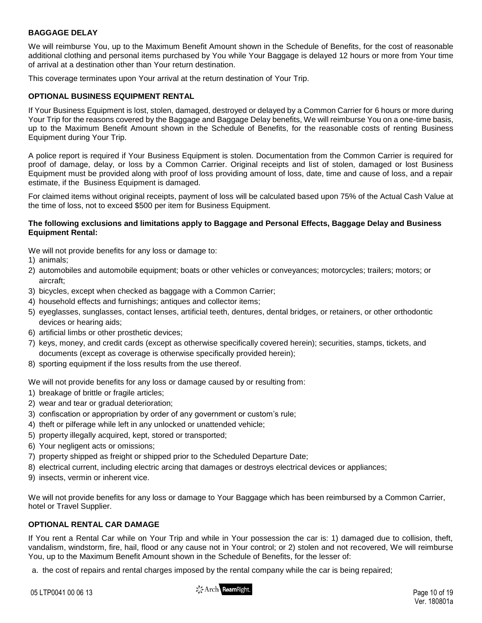# **BAGGAGE DELAY**

We will reimburse You, up to the Maximum Benefit Amount shown in the Schedule of Benefits, for the cost of reasonable additional clothing and personal items purchased by You while Your Baggage is delayed 12 hours or more from Your time of arrival at a destination other than Your return destination.

This coverage terminates upon Your arrival at the return destination of Your Trip.

### **OPTIONAL BUSINESS EQUIPMENT RENTAL**

If Your Business Equipment is lost, stolen, damaged, destroyed or delayed by a Common Carrier for 6 hours or more during Your Trip for the reasons covered by the Baggage and Baggage Delay benefits, We will reimburse You on a one-time basis, up to the Maximum Benefit Amount shown in the Schedule of Benefits, for the reasonable costs of renting Business Equipment during Your Trip.

A police report is required if Your Business Equipment is stolen. Documentation from the Common Carrier is required for proof of damage, delay, or loss by a Common Carrier. Original receipts and list of stolen, damaged or lost Business Equipment must be provided along with proof of loss providing amount of loss, date, time and cause of loss, and a repair estimate, if the Business Equipment is damaged.

For claimed items without original receipts, payment of loss will be calculated based upon 75% of the Actual Cash Value at the time of loss, not to exceed \$500 per item for Business Equipment.

#### **The following exclusions and limitations apply to Baggage and Personal Effects, Baggage Delay and Business Equipment Rental:**

We will not provide benefits for any loss or damage to:

- 1) animals;
- 2) automobiles and automobile equipment; boats or other vehicles or conveyances; motorcycles; trailers; motors; or aircraft;
- 3) bicycles, except when checked as baggage with a Common Carrier;
- 4) household effects and furnishings; antiques and collector items;
- 5) eyeglasses, sunglasses, contact lenses, artificial teeth, dentures, dental bridges, or retainers, or other orthodontic devices or hearing aids;
- 6) artificial limbs or other prosthetic devices;
- 7) keys, money, and credit cards (except as otherwise specifically covered herein); securities, stamps, tickets, and documents (except as coverage is otherwise specifically provided herein);
- 8) sporting equipment if the loss results from the use thereof.

We will not provide benefits for any loss or damage caused by or resulting from:

- 1) breakage of brittle or fragile articles;
- 2) wear and tear or gradual deterioration;
- 3) confiscation or appropriation by order of any government or custom's rule;
- 4) theft or pilferage while left in any unlocked or unattended vehicle;
- 5) property illegally acquired, kept, stored or transported;
- 6) Your negligent acts or omissions;
- 7) property shipped as freight or shipped prior to the Scheduled Departure Date;
- 8) electrical current, including electric arcing that damages or destroys electrical devices or appliances;
- 9) insects, vermin or inherent vice.

We will not provide benefits for any loss or damage to Your Baggage which has been reimbursed by a Common Carrier, hotel or Travel Supplier.

### **OPTIONAL RENTAL CAR DAMAGE**

If You rent a Rental Car while on Your Trip and while in Your possession the car is: 1) damaged due to collision, theft, vandalism, windstorm, fire, hail, flood or any cause not in Your control; or 2) stolen and not recovered, We will reimburse You, up to the Maximum Benefit Amount shown in the Schedule of Benefits, for the lesser of:

a. the cost of repairs and rental charges imposed by the rental company while the car is being repaired;

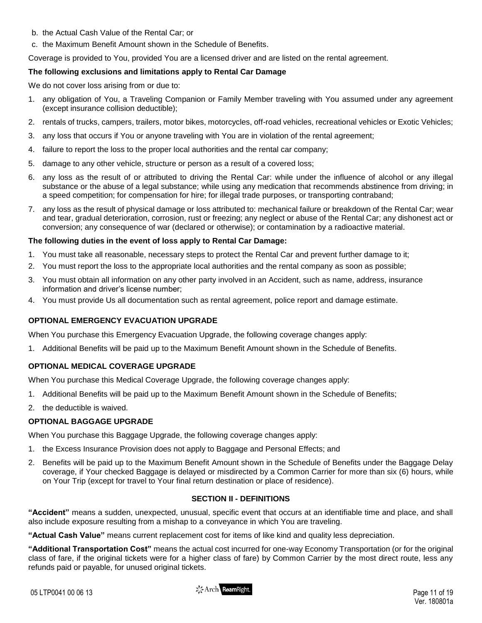- b. the Actual Cash Value of the Rental Car; or
- c. the Maximum Benefit Amount shown in the Schedule of Benefits.

Coverage is provided to You, provided You are a licensed driver and are listed on the rental agreement.

# **The following exclusions and limitations apply to Rental Car Damage**

We do not cover loss arising from or due to:

- 1. any obligation of You, a Traveling Companion or Family Member traveling with You assumed under any agreement (except insurance collision deductible);
- 2. rentals of trucks, campers, trailers, motor bikes, motorcycles, off-road vehicles, recreational vehicles or Exotic Vehicles;
- 3. any loss that occurs if You or anyone traveling with You are in violation of the rental agreement;
- 4. failure to report the loss to the proper local authorities and the rental car company;
- 5. damage to any other vehicle, structure or person as a result of a covered loss;
- 6. any loss as the result of or attributed to driving the Rental Car: while under the influence of alcohol or any illegal substance or the abuse of a legal substance; while using any medication that recommends abstinence from driving; in a speed competition; for compensation for hire; for illegal trade purposes, or transporting contraband;
- 7. any loss as the result of physical damage or loss attributed to: mechanical failure or breakdown of the Rental Car; wear and tear, gradual deterioration, corrosion, rust or freezing; any neglect or abuse of the Rental Car; any dishonest act or conversion; any consequence of war (declared or otherwise); or contamination by a radioactive material.

# **The following duties in the event of loss apply to Rental Car Damage:**

- 1. You must take all reasonable, necessary steps to protect the Rental Car and prevent further damage to it;
- 2. You must report the loss to the appropriate local authorities and the rental company as soon as possible;
- 3. You must obtain all information on any other party involved in an Accident, such as name, address, insurance information and driver's license number;
- 4. You must provide Us all documentation such as rental agreement, police report and damage estimate.

# **OPTIONAL EMERGENCY EVACUATION UPGRADE**

When You purchase this Emergency Evacuation Upgrade, the following coverage changes apply:

1. Additional Benefits will be paid up to the Maximum Benefit Amount shown in the Schedule of Benefits.

# **OPTIONAL MEDICAL COVERAGE UPGRADE**

When You purchase this Medical Coverage Upgrade, the following coverage changes apply:

- 1. Additional Benefits will be paid up to the Maximum Benefit Amount shown in the Schedule of Benefits;
- 2. the deductible is waived.

# **OPTIONAL BAGGAGE UPGRADE**

When You purchase this Baggage Upgrade, the following coverage changes apply:

- 1. the Excess Insurance Provision does not apply to Baggage and Personal Effects; and
- 2. Benefits will be paid up to the Maximum Benefit Amount shown in the Schedule of Benefits under the Baggage Delay coverage, if Your checked Baggage is delayed or misdirected by a Common Carrier for more than six (6) hours, while on Your Trip (except for travel to Your final return destination or place of residence).

# **SECTION II - DEFINITIONS**

**"Accident"** means a sudden, unexpected, unusual, specific event that occurs at an identifiable time and place, and shall also include exposure resulting from a mishap to a conveyance in which You are traveling.

**"Actual Cash Value"** means current replacement cost for items of like kind and quality less depreciation.

**"Additional Transportation Cost"** means the actual cost incurred for one-way Economy Transportation (or for the original class of fare, if the original tickets were for a higher class of fare) by Common Carrier by the most direct route, less any refunds paid or payable, for unused original tickets.

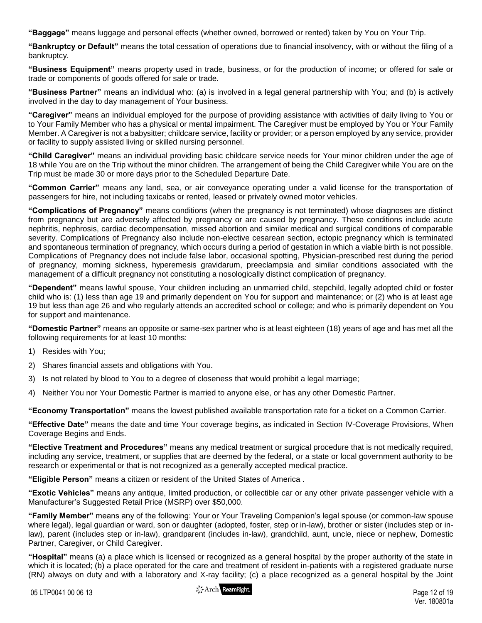**"Baggage"** means luggage and personal effects (whether owned, borrowed or rented) taken by You on Your Trip.

**"Bankruptcy or Default"** means the total cessation of operations due to financial insolvency, with or without the filing of a bankruptcy.

**"Business Equipment"** means property used in trade, business, or for the production of income; or offered for sale or trade or components of goods offered for sale or trade.

**"Business Partner"** means an individual who: (a) is involved in a legal general partnership with You; and (b) is actively involved in the day to day management of Your business.

**"Caregiver"** means an individual employed for the purpose of providing assistance with activities of daily living to You or to Your Family Member who has a physical or mental impairment. The Caregiver must be employed by You or Your Family Member. A Caregiver is not a babysitter; childcare service, facility or provider; or a person employed by any service, provider or facility to supply assisted living or skilled nursing personnel.

**"Child Caregiver"** means an individual providing basic childcare service needs for Your minor children under the age of 18 while You are on the Trip without the minor children. The arrangement of being the Child Caregiver while You are on the Trip must be made 30 or more days prior to the Scheduled Departure Date.

**"Common Carrier"** means any land, sea, or air conveyance operating under a valid license for the transportation of passengers for hire, not including taxicabs or rented, leased or privately owned motor vehicles.

**"Complications of Pregnancy"** means conditions (when the pregnancy is not terminated) whose diagnoses are distinct from pregnancy but are adversely affected by pregnancy or are caused by pregnancy. These conditions include acute nephritis, nephrosis, cardiac decompensation, missed abortion and similar medical and surgical conditions of comparable severity. Complications of Pregnancy also include non-elective cesarean section, ectopic pregnancy which is terminated and spontaneous termination of pregnancy, which occurs during a period of gestation in which a viable birth is not possible. Complications of Pregnancy does not include false labor, occasional spotting, Physician-prescribed rest during the period of pregnancy, morning sickness, hyperemesis gravidarum, preeclampsia and similar conditions associated with the management of a difficult pregnancy not constituting a nosologically distinct complication of pregnancy.

**"Dependent"** means lawful spouse, Your children including an unmarried child, stepchild, legally adopted child or foster child who is: (1) less than age 19 and primarily dependent on You for support and maintenance; or (2) who is at least age 19 but less than age 26 and who regularly attends an accredited school or college; and who is primarily dependent on You for support and maintenance.

**"Domestic Partner"** means an opposite or same-sex partner who is at least eighteen (18) years of age and has met all the following requirements for at least 10 months:

- 1) Resides with You;
- 2) Shares financial assets and obligations with You.
- 3) Is not related by blood to You to a degree of closeness that would prohibit a legal marriage;
- 4) Neither You nor Your Domestic Partner is married to anyone else, or has any other Domestic Partner.

**"Economy Transportation"** means the lowest published available transportation rate for a ticket on a Common Carrier.

**"Effective Date"** means the date and time Your coverage begins, as indicated in Section IV-Coverage Provisions, When Coverage Begins and Ends.

**"Elective Treatment and Procedures"** means any medical treatment or surgical procedure that is not medically required, including any service, treatment, or supplies that are deemed by the federal, or a state or local government authority to be research or experimental or that is not recognized as a generally accepted medical practice.

**"Eligible Person"** means a citizen or resident of the United States of America .

**"Exotic Vehicles"** means any antique, limited production, or collectible car or any other private passenger vehicle with a Manufacturer's Suggested Retail Price (MSRP) over \$50,000.

**"Family Member"** means any of the following: Your or Your Traveling Companion's legal spouse (or common-law spouse where legal), legal guardian or ward, son or daughter (adopted, foster, step or in-law), brother or sister (includes step or inlaw), parent (includes step or in-law), grandparent (includes in-law), grandchild, aunt, uncle, niece or nephew, Domestic Partner, Caregiver, or Child Caregiver.

**"Hospital"** means (a) a place which is licensed or recognized as a general hospital by the proper authority of the state in which it is located; (b) a place operated for the care and treatment of resident in-patients with a registered graduate nurse (RN) always on duty and with a laboratory and X-ray facility; (c) a place recognized as a general hospital by the Joint

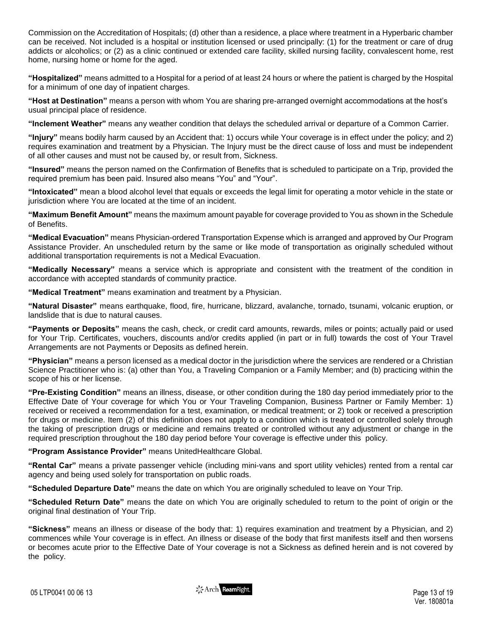Commission on the Accreditation of Hospitals; (d) other than a residence, a place where treatment in a Hyperbaric chamber can be received. Not included is a hospital or institution licensed or used principally: (1) for the treatment or care of drug addicts or alcoholics; or (2) as a clinic continued or extended care facility, skilled nursing facility, convalescent home, rest home, nursing home or home for the aged.

**"Hospitalized"** means admitted to a Hospital for a period of at least 24 hours or where the patient is charged by the Hospital for a minimum of one day of inpatient charges.

**"Host at Destination"** means a person with whom You are sharing pre-arranged overnight accommodations at the host's usual principal place of residence.

**"Inclement Weather"** means any weather condition that delays the scheduled arrival or departure of a Common Carrier.

**"Injury"** means bodily harm caused by an Accident that: 1) occurs while Your coverage is in effect under the policy; and 2) requires examination and treatment by a Physician. The Injury must be the direct cause of loss and must be independent of all other causes and must not be caused by, or result from, Sickness.

**"Insured"** means the person named on the Confirmation of Benefits that is scheduled to participate on a Trip, provided the required premium has been paid. Insured also means "You" and "Your".

**"Intoxicated"** mean a blood alcohol level that equals or exceeds the legal limit for operating a motor vehicle in the state or jurisdiction where You are located at the time of an incident.

**"Maximum Benefit Amount"** means the maximum amount payable for coverage provided to You as shown in the Schedule of Benefits.

**"Medical Evacuation"** means Physician-ordered Transportation Expense which is arranged and approved by Our Program Assistance Provider. An unscheduled return by the same or like mode of transportation as originally scheduled without additional transportation requirements is not a Medical Evacuation.

**"Medically Necessary"** means a service which is appropriate and consistent with the treatment of the condition in accordance with accepted standards of community practice.

**"Medical Treatment"** means examination and treatment by a Physician.

**"Natural Disaster"** means earthquake, flood, fire, hurricane, blizzard, avalanche, tornado, tsunami, volcanic eruption, or landslide that is due to natural causes.

**"Payments or Deposits"** means the cash, check, or credit card amounts, rewards, miles or points; actually paid or used for Your Trip. Certificates, vouchers, discounts and/or credits applied (in part or in full) towards the cost of Your Travel Arrangements are not Payments or Deposits as defined herein.

**"Physician"** means a person licensed as a medical doctor in the jurisdiction where the services are rendered or a Christian Science Practitioner who is: (a) other than You, a Traveling Companion or a Family Member; and (b) practicing within the scope of his or her license.

**"Pre-Existing Condition"** means an illness, disease, or other condition during the 180 day period immediately prior to the Effective Date of Your coverage for which You or Your Traveling Companion, Business Partner or Family Member: 1) received or received a recommendation for a test, examination, or medical treatment; or 2) took or received a prescription for drugs or medicine. Item (2) of this definition does not apply to a condition which is treated or controlled solely through the taking of prescription drugs or medicine and remains treated or controlled without any adjustment or change in the required prescription throughout the 180 day period before Your coverage is effective under this policy.

**"Program Assistance Provider"** means UnitedHealthcare Global.

**"Rental Car"** means a private passenger vehicle (including mini-vans and sport utility vehicles) rented from a rental car agency and being used solely for transportation on public roads.

**"Scheduled Departure Date"** means the date on which You are originally scheduled to leave on Your Trip.

**"Scheduled Return Date"** means the date on which You are originally scheduled to return to the point of origin or the original final destination of Your Trip.

**"Sickness"** means an illness or disease of the body that: 1) requires examination and treatment by a Physician, and 2) commences while Your coverage is in effect. An illness or disease of the body that first manifests itself and then worsens or becomes acute prior to the Effective Date of Your coverage is not a Sickness as defined herein and is not covered by the policy.

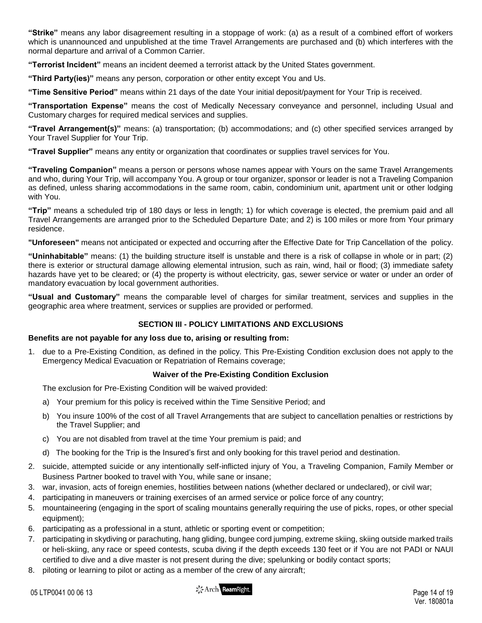**"Strike"** means any labor disagreement resulting in a stoppage of work: (a) as a result of a combined effort of workers which is unannounced and unpublished at the time Travel Arrangements are purchased and (b) which interferes with the normal departure and arrival of a Common Carrier.

**"Terrorist Incident"** means an incident deemed a terrorist attack by the United States government.

**"Third Party(ies)"** means any person, corporation or other entity except You and Us.

**"Time Sensitive Period"** means within 21 days of the date Your initial deposit/payment for Your Trip is received.

**"Transportation Expense"** means the cost of Medically Necessary conveyance and personnel, including Usual and Customary charges for required medical services and supplies.

**"Travel Arrangement(s)"** means: (a) transportation; (b) accommodations; and (c) other specified services arranged by Your Travel Supplier for Your Trip.

**"Travel Supplier"** means any entity or organization that coordinates or supplies travel services for You.

**"Traveling Companion"** means a person or persons whose names appear with Yours on the same Travel Arrangements and who, during Your Trip, will accompany You. A group or tour organizer, sponsor or leader is not a Traveling Companion as defined, unless sharing accommodations in the same room, cabin, condominium unit, apartment unit or other lodging with You.

**"Trip"** means a scheduled trip of 180 days or less in length; 1) for which coverage is elected, the premium paid and all Travel Arrangements are arranged prior to the Scheduled Departure Date; and 2) is 100 miles or more from Your primary residence.

**"Unforeseen"** means not anticipated or expected and occurring after the Effective Date for Trip Cancellation of the policy.

**"Uninhabitable"** means: (1) the building structure itself is unstable and there is a risk of collapse in whole or in part; (2) there is exterior or structural damage allowing elemental intrusion, such as rain, wind, hail or flood; (3) immediate safety hazards have yet to be cleared; or (4) the property is without electricity, gas, sewer service or water or under an order of mandatory evacuation by local government authorities.

**"Usual and Customary"** means the comparable level of charges for similar treatment, services and supplies in the geographic area where treatment, services or supplies are provided or performed.

# **SECTION III - POLICY LIMITATIONS AND EXCLUSIONS**

### **Benefits are not payable for any loss due to, arising or resulting from:**

1. due to a Pre-Existing Condition, as defined in the policy. This Pre-Existing Condition exclusion does not apply to the Emergency Medical Evacuation or Repatriation of Remains coverage;

# **Waiver of the Pre-Existing Condition Exclusion**

The exclusion for Pre-Existing Condition will be waived provided:

- a) Your premium for this policy is received within the Time Sensitive Period; and
- b) You insure 100% of the cost of all Travel Arrangements that are subject to cancellation penalties or restrictions by the Travel Supplier; and
- c) You are not disabled from travel at the time Your premium is paid; and
- d) The booking for the Trip is the Insured's first and only booking for this travel period and destination.
- 2. suicide, attempted suicide or any intentionally self-inflicted injury of You, a Traveling Companion, Family Member or Business Partner booked to travel with You, while sane or insane;
- 3. war, invasion, acts of foreign enemies, hostilities between nations (whether declared or undeclared), or civil war;
- 4. participating in maneuvers or training exercises of an armed service or police force of any country;
- 5. mountaineering (engaging in the sport of scaling mountains generally requiring the use of picks, ropes, or other special equipment);
- 6. participating as a professional in a stunt, athletic or sporting event or competition;
- 7. participating in skydiving or parachuting, hang gliding, bungee cord jumping, extreme skiing, skiing outside marked trails or heli-skiing, any race or speed contests, scuba diving if the depth exceeds 130 feet or if You are not PADI or NAUI certified to dive and a dive master is not present during the dive; spelunking or bodily contact sports;
- 8. piloting or learning to pilot or acting as a member of the crew of any aircraft;

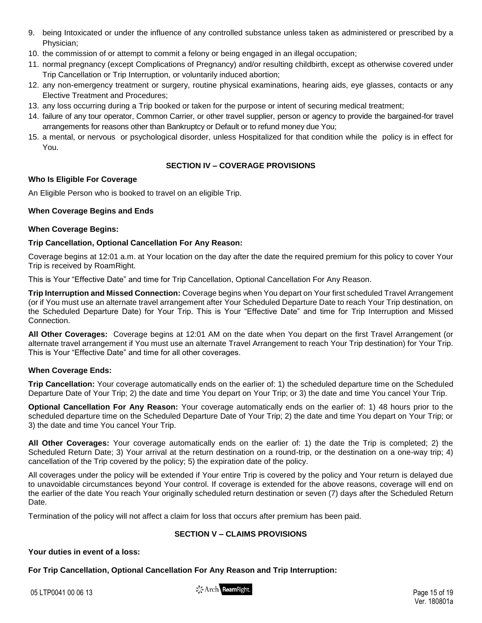- 9. being Intoxicated or under the influence of any controlled substance unless taken as administered or prescribed by a Physician;
- 10. the commission of or attempt to commit a felony or being engaged in an illegal occupation;
- 11. normal pregnancy (except Complications of Pregnancy) and/or resulting childbirth, except as otherwise covered under Trip Cancellation or Trip Interruption, or voluntarily induced abortion;
- 12. any non-emergency treatment or surgery, routine physical examinations, hearing aids, eye glasses, contacts or any Elective Treatment and Procedures;
- 13. any loss occurring during a Trip booked or taken for the purpose or intent of securing medical treatment;
- 14. failure of any tour operator, Common Carrier, or other travel supplier, person or agency to provide the bargained-for travel arrangements for reasons other than Bankruptcy or Default or to refund money due You;
- 15. a mental, or nervous or psychological disorder, unless Hospitalized for that condition while the policy is in effect for You.

# **SECTION IV – COVERAGE PROVISIONS**

# **Who Is Eligible For Coverage**

An Eligible Person who is booked to travel on an eligible Trip.

# **When Coverage Begins and Ends**

### **When Coverage Begins:**

# **Trip Cancellation, Optional Cancellation For Any Reason:**

Coverage begins at 12:01 a.m. at Your location on the day after the date the required premium for this policy to cover Your Trip is received by RoamRight.

This is Your "Effective Date" and time for Trip Cancellation, Optional Cancellation For Any Reason.

**Trip Interruption and Missed Connection:** Coverage begins when You depart on Your first scheduled Travel Arrangement (or if You must use an alternate travel arrangement after Your Scheduled Departure Date to reach Your Trip destination, on the Scheduled Departure Date) for Your Trip. This is Your "Effective Date" and time for Trip Interruption and Missed Connection.

**All Other Coverages:** Coverage begins at 12:01 AM on the date when You depart on the first Travel Arrangement (or alternate travel arrangement if You must use an alternate Travel Arrangement to reach Your Trip destination) for Your Trip. This is Your "Effective Date" and time for all other coverages.

# **When Coverage Ends:**

**Trip Cancellation:** Your coverage automatically ends on the earlier of: 1) the scheduled departure time on the Scheduled Departure Date of Your Trip; 2) the date and time You depart on Your Trip; or 3) the date and time You cancel Your Trip.

**Optional Cancellation For Any Reason:** Your coverage automatically ends on the earlier of: 1) 48 hours prior to the scheduled departure time on the Scheduled Departure Date of Your Trip; 2) the date and time You depart on Your Trip; or 3) the date and time You cancel Your Trip.

**All Other Coverages:** Your coverage automatically ends on the earlier of: 1) the date the Trip is completed; 2) the Scheduled Return Date; 3) Your arrival at the return destination on a round-trip, or the destination on a one-way trip; 4) cancellation of the Trip covered by the policy; 5) the expiration date of the policy.

All coverages under the policy will be extended if Your entire Trip is covered by the policy and Your return is delayed due to unavoidable circumstances beyond Your control. If coverage is extended for the above reasons, coverage will end on the earlier of the date You reach Your originally scheduled return destination or seven (7) days after the Scheduled Return Date.

Termination of the policy will not affect a claim for loss that occurs after premium has been paid.

# **SECTION V – CLAIMS PROVISIONS**

### **Your duties in event of a loss:**

**For Trip Cancellation, Optional Cancellation For Any Reason and Trip Interruption:**

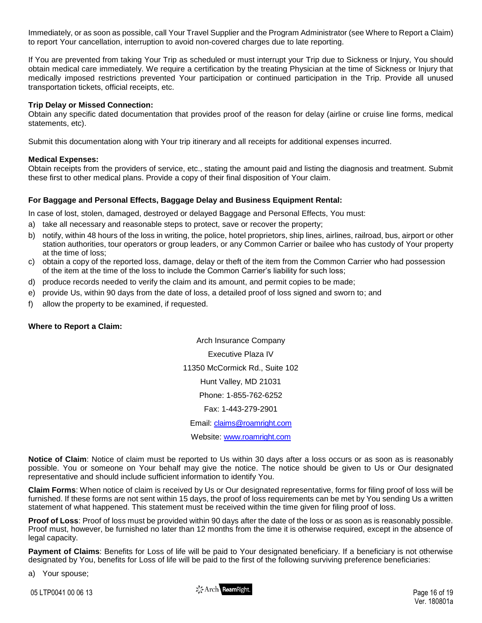Immediately, or as soon as possible, call Your Travel Supplier and the Program Administrator (see Where to Report a Claim) to report Your cancellation, interruption to avoid non-covered charges due to late reporting.

If You are prevented from taking Your Trip as scheduled or must interrupt your Trip due to Sickness or Injury, You should obtain medical care immediately. We require a certification by the treating Physician at the time of Sickness or Injury that medically imposed restrictions prevented Your participation or continued participation in the Trip. Provide all unused transportation tickets, official receipts, etc.

### **Trip Delay or Missed Connection:**

Obtain any specific dated documentation that provides proof of the reason for delay (airline or cruise line forms, medical statements, etc).

Submit this documentation along with Your trip itinerary and all receipts for additional expenses incurred.

### **Medical Expenses:**

Obtain receipts from the providers of service, etc., stating the amount paid and listing the diagnosis and treatment. Submit these first to other medical plans. Provide a copy of their final disposition of Your claim.

### **For Baggage and Personal Effects, Baggage Delay and Business Equipment Rental:**

In case of lost, stolen, damaged, destroyed or delayed Baggage and Personal Effects, You must:

- a) take all necessary and reasonable steps to protect, save or recover the property;
- b) notify, within 48 hours of the loss in writing, the police, hotel proprietors, ship lines, airlines, railroad, bus, airport or other station authorities, tour operators or group leaders, or any Common Carrier or bailee who has custody of Your property at the time of loss;
- c) obtain a copy of the reported loss, damage, delay or theft of the item from the Common Carrier who had possession of the item at the time of the loss to include the Common Carrier's liability for such loss;
- d) produce records needed to verify the claim and its amount, and permit copies to be made;
- e) provide Us, within 90 days from the date of loss, a detailed proof of loss signed and sworn to; and
- f) allow the property to be examined, if requested.

### **Where to Report a Claim:**

Arch Insurance Company Executive Plaza IV 11350 McCormick Rd., Suite 102 Hunt Valley, MD 21031 Phone: 1-855-762-6252 Fax: 1-443-279-2901 Email: [claims@roamright.com](mailto:claims@roamright.com) Website: [www.roamright.com](http://www.roamright.com/)

**Notice of Claim**: Notice of claim must be reported to Us within 30 days after a loss occurs or as soon as is reasonably possible. You or someone on Your behalf may give the notice. The notice should be given to Us or Our designated representative and should include sufficient information to identify You.

**Claim Forms**: When notice of claim is received by Us or Our designated representative, forms for filing proof of loss will be furnished. If these forms are not sent within 15 days, the proof of loss requirements can be met by You sending Us a written statement of what happened. This statement must be received within the time given for filing proof of loss.

**Proof of Loss**: Proof of loss must be provided within 90 days after the date of the loss or as soon as is reasonably possible. Proof must, however, be furnished no later than 12 months from the time it is otherwise required, except in the absence of legal capacity.

**Payment of Claims**: Benefits for Loss of life will be paid to Your designated beneficiary. If a beneficiary is not otherwise designated by You, benefits for Loss of life will be paid to the first of the following surviving preference beneficiaries:

a) Your spouse;

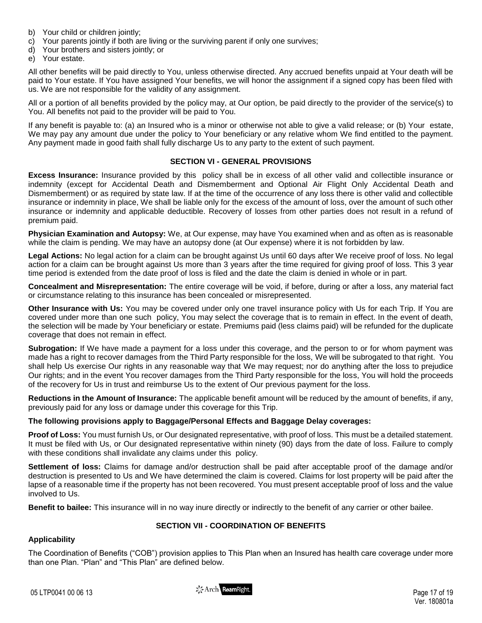- b) Your child or children jointly;
- c) Your parents jointly if both are living or the surviving parent if only one survives;
- d) Your brothers and sisters jointly; or
- e) Your estate.

All other benefits will be paid directly to You, unless otherwise directed. Any accrued benefits unpaid at Your death will be paid to Your estate. If You have assigned Your benefits, we will honor the assignment if a signed copy has been filed with us. We are not responsible for the validity of any assignment.

All or a portion of all benefits provided by the policy may, at Our option, be paid directly to the provider of the service(s) to You. All benefits not paid to the provider will be paid to You.

If any benefit is payable to: (a) an Insured who is a minor or otherwise not able to give a valid release; or (b) Your estate, We may pay any amount due under the policy to Your beneficiary or any relative whom We find entitled to the payment. Any payment made in good faith shall fully discharge Us to any party to the extent of such payment.

### **SECTION VI - GENERAL PROVISIONS**

**Excess Insurance:** Insurance provided by this policy shall be in excess of all other valid and collectible insurance or indemnity (except for Accidental Death and Dismemberment and Optional Air Flight Only Accidental Death and Dismemberment) or as required by state law. If at the time of the occurrence of any loss there is other valid and collectible insurance or indemnity in place, We shall be liable only for the excess of the amount of loss, over the amount of such other insurance or indemnity and applicable deductible. Recovery of losses from other parties does not result in a refund of premium paid.

**Physician Examination and Autopsy:** We, at Our expense, may have You examined when and as often as is reasonable while the claim is pending. We may have an autopsy done (at Our expense) where it is not forbidden by law.

**Legal Actions:** No legal action for a claim can be brought against Us until 60 days after We receive proof of loss. No legal action for a claim can be brought against Us more than 3 years after the time required for giving proof of loss. This 3 year time period is extended from the date proof of loss is filed and the date the claim is denied in whole or in part.

**Concealment and Misrepresentation:** The entire coverage will be void, if before, during or after a loss, any material fact or circumstance relating to this insurance has been concealed or misrepresented.

**Other Insurance with Us:** You may be covered under only one travel insurance policy with Us for each Trip. If You are covered under more than one such policy, You may select the coverage that is to remain in effect. In the event of death, the selection will be made by Your beneficiary or estate. Premiums paid (less claims paid) will be refunded for the duplicate coverage that does not remain in effect.

**Subrogation:** If We have made a payment for a loss under this coverage, and the person to or for whom payment was made has a right to recover damages from the Third Party responsible for the loss, We will be subrogated to that right. You shall help Us exercise Our rights in any reasonable way that We may request; nor do anything after the loss to prejudice Our rights; and in the event You recover damages from the Third Party responsible for the loss, You will hold the proceeds of the recovery for Us in trust and reimburse Us to the extent of Our previous payment for the loss.

**Reductions in the Amount of Insurance:** The applicable benefit amount will be reduced by the amount of benefits, if any, previously paid for any loss or damage under this coverage for this Trip.

### **The following provisions apply to Baggage/Personal Effects and Baggage Delay coverages:**

**Proof of Loss:** You must furnish Us, or Our designated representative, with proof of loss. This must be a detailed statement. It must be filed with Us, or Our designated representative within ninety (90) days from the date of loss. Failure to comply with these conditions shall invalidate any claims under this policy.

**Settlement of loss:** Claims for damage and/or destruction shall be paid after acceptable proof of the damage and/or destruction is presented to Us and We have determined the claim is covered. Claims for lost property will be paid after the lapse of a reasonable time if the property has not been recovered. You must present acceptable proof of loss and the value involved to Us.

**Benefit to bailee:** This insurance will in no way inure directly or indirectly to the benefit of any carrier or other bailee.

# **SECTION VII - COORDINATION OF BENEFITS**

# **Applicability**

The Coordination of Benefits ("COB") provision applies to This Plan when an Insured has health care coverage under more than one Plan. "Plan" and "This Plan" are defined below.

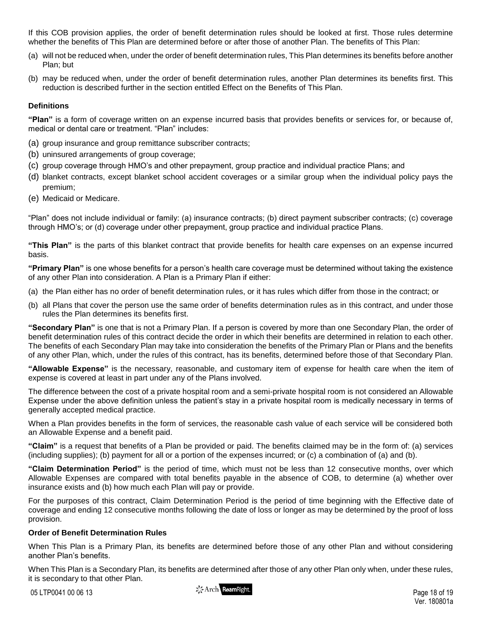If this COB provision applies, the order of benefit determination rules should be looked at first. Those rules determine whether the benefits of This Plan are determined before or after those of another Plan. The benefits of This Plan:

- (a) will not be reduced when, under the order of benefit determination rules, This Plan determines its benefits before another Plan; but
- (b) may be reduced when, under the order of benefit determination rules, another Plan determines its benefits first. This reduction is described further in the section entitled Effect on the Benefits of This Plan.

# **Definitions**

**"Plan"** is a form of coverage written on an expense incurred basis that provides benefits or services for, or because of, medical or dental care or treatment. "Plan" includes:

- (a) group insurance and group remittance subscriber contracts;
- (b) uninsured arrangements of group coverage;
- (c) group coverage through HMO's and other prepayment, group practice and individual practice Plans; and
- (d) blanket contracts, except blanket school accident coverages or a similar group when the individual policy pays the premium;
- (e) Medicaid or Medicare.

"Plan" does not include individual or family: (a) insurance contracts; (b) direct payment subscriber contracts; (c) coverage through HMO's; or (d) coverage under other prepayment, group practice and individual practice Plans.

**"This Plan"** is the parts of this blanket contract that provide benefits for health care expenses on an expense incurred basis.

**"Primary Plan"** is one whose benefits for a person's health care coverage must be determined without taking the existence of any other Plan into consideration. A Plan is a Primary Plan if either:

- (a) the Plan either has no order of benefit determination rules, or it has rules which differ from those in the contract; or
- (b) all Plans that cover the person use the same order of benefits determination rules as in this contract, and under those rules the Plan determines its benefits first.

**"Secondary Plan"** is one that is not a Primary Plan. If a person is covered by more than one Secondary Plan, the order of benefit determination rules of this contract decide the order in which their benefits are determined in relation to each other. The benefits of each Secondary Plan may take into consideration the benefits of the Primary Plan or Plans and the benefits of any other Plan, which, under the rules of this contract, has its benefits, determined before those of that Secondary Plan.

**"Allowable Expense"** is the necessary, reasonable, and customary item of expense for health care when the item of expense is covered at least in part under any of the Plans involved.

The difference between the cost of a private hospital room and a semi-private hospital room is not considered an Allowable Expense under the above definition unless the patient's stay in a private hospital room is medically necessary in terms of generally accepted medical practice.

When a Plan provides benefits in the form of services, the reasonable cash value of each service will be considered both an Allowable Expense and a benefit paid.

**"Claim"** is a request that benefits of a Plan be provided or paid. The benefits claimed may be in the form of: (a) services (including supplies); (b) payment for all or a portion of the expenses incurred; or (c) a combination of (a) and (b).

**"Claim Determination Period"** is the period of time, which must not be less than 12 consecutive months, over which Allowable Expenses are compared with total benefits payable in the absence of COB, to determine (a) whether over insurance exists and (b) how much each Plan will pay or provide.

For the purposes of this contract, Claim Determination Period is the period of time beginning with the Effective date of coverage and ending 12 consecutive months following the date of loss or longer as may be determined by the proof of loss provision.

### **Order of Benefit Determination Rules**

When This Plan is a Primary Plan, its benefits are determined before those of any other Plan and without considering another Plan's benefits.

When This Plan is a Secondary Plan, its benefits are determined after those of any other Plan only when, under these rules, it is secondary to that other Plan.

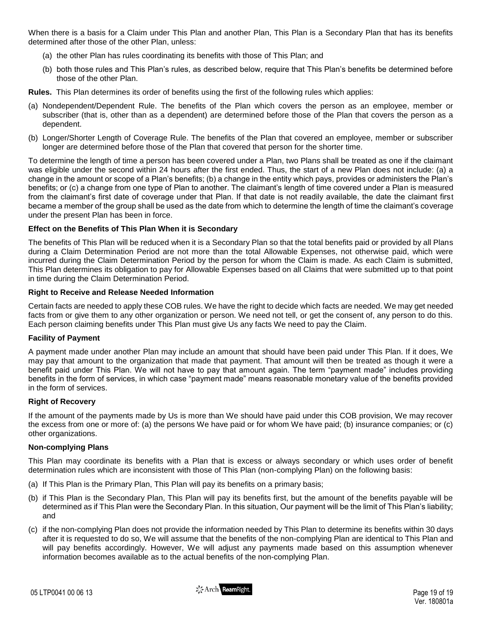When there is a basis for a Claim under This Plan and another Plan, This Plan is a Secondary Plan that has its benefits determined after those of the other Plan, unless:

- (a) the other Plan has rules coordinating its benefits with those of This Plan; and
- (b) both those rules and This Plan's rules, as described below, require that This Plan's benefits be determined before those of the other Plan.

**Rules.** This Plan determines its order of benefits using the first of the following rules which applies:

- (a) Nondependent/Dependent Rule. The benefits of the Plan which covers the person as an employee, member or subscriber (that is, other than as a dependent) are determined before those of the Plan that covers the person as a dependent.
- (b) Longer/Shorter Length of Coverage Rule. The benefits of the Plan that covered an employee, member or subscriber longer are determined before those of the Plan that covered that person for the shorter time.

To determine the length of time a person has been covered under a Plan, two Plans shall be treated as one if the claimant was eligible under the second within 24 hours after the first ended. Thus, the start of a new Plan does not include: (a) a change in the amount or scope of a Plan's benefits; (b) a change in the entity which pays, provides or administers the Plan's benefits; or (c) a change from one type of Plan to another. The claimant's length of time covered under a Plan is measured from the claimant's first date of coverage under that Plan. If that date is not readily available, the date the claimant first became a member of the group shall be used as the date from which to determine the length of time the claimant's coverage under the present Plan has been in force.

### **Effect on the Benefits of This Plan When it is Secondary**

The benefits of This Plan will be reduced when it is a Secondary Plan so that the total benefits paid or provided by all Plans during a Claim Determination Period are not more than the total Allowable Expenses, not otherwise paid, which were incurred during the Claim Determination Period by the person for whom the Claim is made. As each Claim is submitted, This Plan determines its obligation to pay for Allowable Expenses based on all Claims that were submitted up to that point in time during the Claim Determination Period.

### **Right to Receive and Release Needed Information**

Certain facts are needed to apply these COB rules. We have the right to decide which facts are needed. We may get needed facts from or give them to any other organization or person. We need not tell, or get the consent of, any person to do this. Each person claiming benefits under This Plan must give Us any facts We need to pay the Claim.

### **Facility of Payment**

A payment made under another Plan may include an amount that should have been paid under This Plan. If it does, We may pay that amount to the organization that made that payment. That amount will then be treated as though it were a benefit paid under This Plan. We will not have to pay that amount again. The term "payment made" includes providing benefits in the form of services, in which case "payment made" means reasonable monetary value of the benefits provided in the form of services.

### **Right of Recovery**

If the amount of the payments made by Us is more than We should have paid under this COB provision, We may recover the excess from one or more of: (a) the persons We have paid or for whom We have paid; (b) insurance companies; or (c) other organizations.

### **Non-complying Plans**

This Plan may coordinate its benefits with a Plan that is excess or always secondary or which uses order of benefit determination rules which are inconsistent with those of This Plan (non-complying Plan) on the following basis:

- (a) If This Plan is the Primary Plan, This Plan will pay its benefits on a primary basis;
- (b) if This Plan is the Secondary Plan, This Plan will pay its benefits first, but the amount of the benefits payable will be determined as if This Plan were the Secondary Plan. In this situation, Our payment will be the limit of This Plan's liability; and
- (c) if the non-complying Plan does not provide the information needed by This Plan to determine its benefits within 30 days after it is requested to do so, We will assume that the benefits of the non-complying Plan are identical to This Plan and will pay benefits accordingly. However, We will adjust any payments made based on this assumption whenever information becomes available as to the actual benefits of the non-complying Plan.

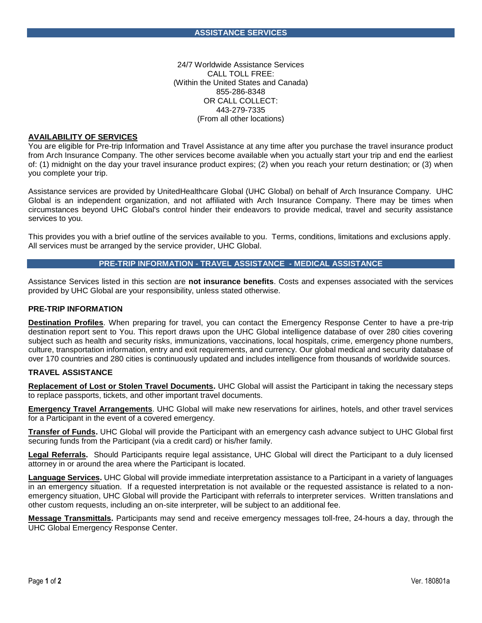24/7 Worldwide Assistance Services CALL TOLL FREE: (Within the United States and Canada) 855-286-8348 OR CALL COLLECT: 443-279-7335 (From all other locations)

#### **AVAILABILITY OF SERVICES**

You are eligible for Pre-trip Information and Travel Assistance at any time after you purchase the travel insurance product from Arch Insurance Company. The other services become available when you actually start your trip and end the earliest of: (1) midnight on the day your travel insurance product expires; (2) when you reach your return destination; or (3) when you complete your trip.

Assistance services are provided by UnitedHealthcare Global (UHC Global) on behalf of Arch Insurance Company. UHC Global is an independent organization, and not affiliated with Arch Insurance Company. There may be times when circumstances beyond UHC Global's control hinder their endeavors to provide medical, travel and security assistance services to you.

This provides you with a brief outline of the services available to you. Terms, conditions, limitations and exclusions apply. All services must be arranged by the service provider, UHC Global.

### **PRE-TRIP INFORMATION - TRAVEL ASSISTANCE - MEDICAL ASSISTANCE**

Assistance Services listed in this section are **not insurance benefits**. Costs and expenses associated with the services provided by UHC Global are your responsibility, unless stated otherwise.

#### **PRE-TRIP INFORMATION**

**Destination Profiles**. When preparing for travel, you can contact the Emergency Response Center to have a pre-trip destination report sent to You. This report draws upon the UHC Global intelligence database of over 280 cities covering subject such as health and security risks, immunizations, vaccinations, local hospitals, crime, emergency phone numbers, culture, transportation information, entry and exit requirements, and currency. Our global medical and security database of over 170 countries and 280 cities is continuously updated and includes intelligence from thousands of worldwide sources.

#### **TRAVEL ASSISTANCE**

**Replacement of Lost or Stolen Travel Documents.** UHC Global will assist the Participant in taking the necessary steps to replace passports, tickets, and other important travel documents.

**Emergency Travel Arrangements**. UHC Global will make new reservations for airlines, hotels, and other travel services for a Participant in the event of a covered emergency.

**Transfer of Funds.** UHC Global will provide the Participant with an emergency cash advance subject to UHC Global first securing funds from the Participant (via a credit card) or his/her family.

**Legal Referrals.** Should Participants require legal assistance, UHC Global will direct the Participant to a duly licensed attorney in or around the area where the Participant is located.

**Language Services.** UHC Global will provide immediate interpretation assistance to a Participant in a variety of languages in an emergency situation. If a requested interpretation is not available or the requested assistance is related to a nonemergency situation, UHC Global will provide the Participant with referrals to interpreter services. Written translations and other custom requests, including an on-site interpreter, will be subject to an additional fee.

**Message Transmittals.** Participants may send and receive emergency messages toll-free, 24-hours a day, through the UHC Global Emergency Response Center.